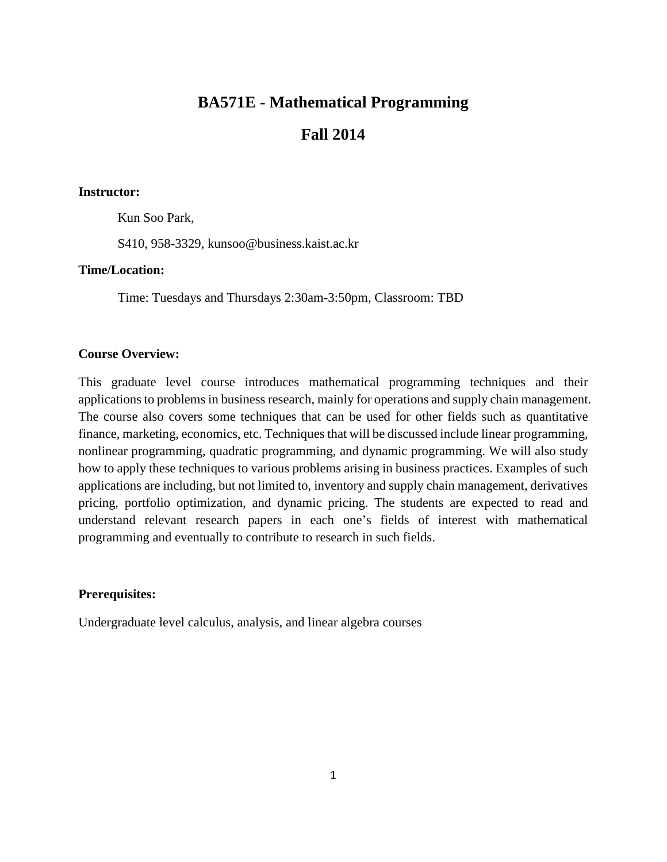# **BA571E - Mathematical Programming**

# **Fall 2014**

#### **Instructor:**

Kun Soo Park,

S410, 958-3329, kunsoo@business.kaist.ac.kr

### **Time/Location:**

Time: Tuesdays and Thursdays 2:30am-3:50pm, Classroom: TBD

## **Course Overview:**

This graduate level course introduces mathematical programming techniques and their applications to problems in business research, mainly for operations and supply chain management. The course also covers some techniques that can be used for other fields such as quantitative finance, marketing, economics, etc. Techniques that will be discussed include linear programming, nonlinear programming, quadratic programming, and dynamic programming. We will also study how to apply these techniques to various problems arising in business practices. Examples of such applications are including, but not limited to, inventory and supply chain management, derivatives pricing, portfolio optimization, and dynamic pricing. The students are expected to read and understand relevant research papers in each one's fields of interest with mathematical programming and eventually to contribute to research in such fields.

#### **Prerequisites:**

Undergraduate level calculus, analysis, and linear algebra courses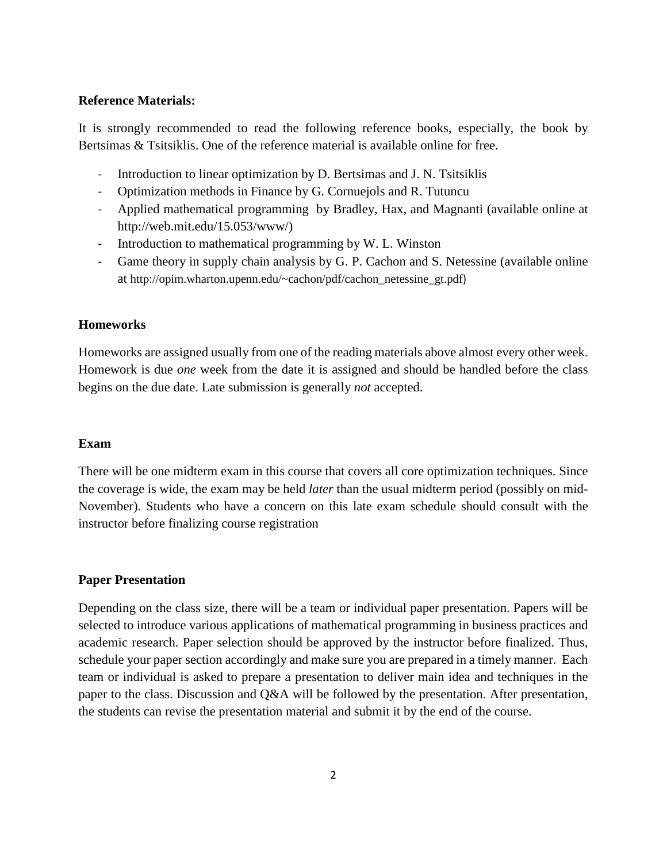#### **Reference Materials:**

It is strongly recommended to read the following reference books, especially, the book by Bertsimas & Tsitsiklis. One of the reference material is available online for free.

- Introduction to linear optimization by D. Bertsimas and J. N. Tsitsiklis
- Optimization methods in Finance by G. Cornuejols and R. Tutuncu
- Applied mathematical programming by Bradley, Hax, and Magnanti (available online at http://web.mit.edu/15.053/www/)
- Introduction to mathematical programming by W. L. Winston
- Game theory in supply chain analysis by G. P. Cachon and S. Netessine (available online at [http://opim.wharton.upenn.edu/~cachon/pdf/cachon\\_netessine\\_gt.pdf](http://opim.wharton.upenn.edu/%7Ecachon/pdf/cachon_netessine_gt.pdf))

#### **Homeworks**

Homeworks are assigned usually from one of the reading materials above almost every other week. Homework is due *one* week from the date it is assigned and should be handled before the class begins on the due date. Late submission is generally *not* accepted.

#### **Exam**

There will be one midterm exam in this course that covers all core optimization techniques. Since the coverage is wide, the exam may be held *later* than the usual midterm period (possibly on mid-November). Students who have a concern on this late exam schedule should consult with the instructor before finalizing course registration

#### **Paper Presentation**

Depending on the class size, there will be a team or individual paper presentation. Papers will be selected to introduce various applications of mathematical programming in business practices and academic research. Paper selection should be approved by the instructor before finalized. Thus, schedule your paper section accordingly and make sure you are prepared in a timely manner. Each team or individual is asked to prepare a presentation to deliver main idea and techniques in the paper to the class. Discussion and Q&A will be followed by the presentation. After presentation, the students can revise the presentation material and submit it by the end of the course.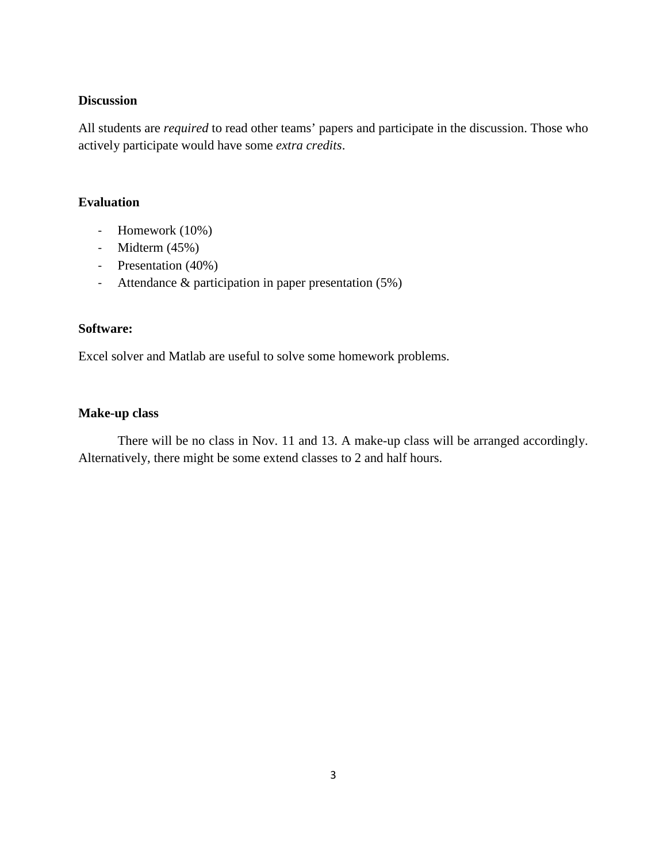#### **Discussion**

All students are *required* to read other teams' papers and participate in the discussion. Those who actively participate would have some *extra credits*.

## **Evaluation**

- Homework (10%)
- Midterm (45%)
- Presentation (40%)
- Attendance & participation in paper presentation (5%)

#### **Software:**

Excel solver and Matlab are useful to solve some homework problems.

### **Make-up class**

There will be no class in Nov. 11 and 13. A make-up class will be arranged accordingly. Alternatively, there might be some extend classes to 2 and half hours.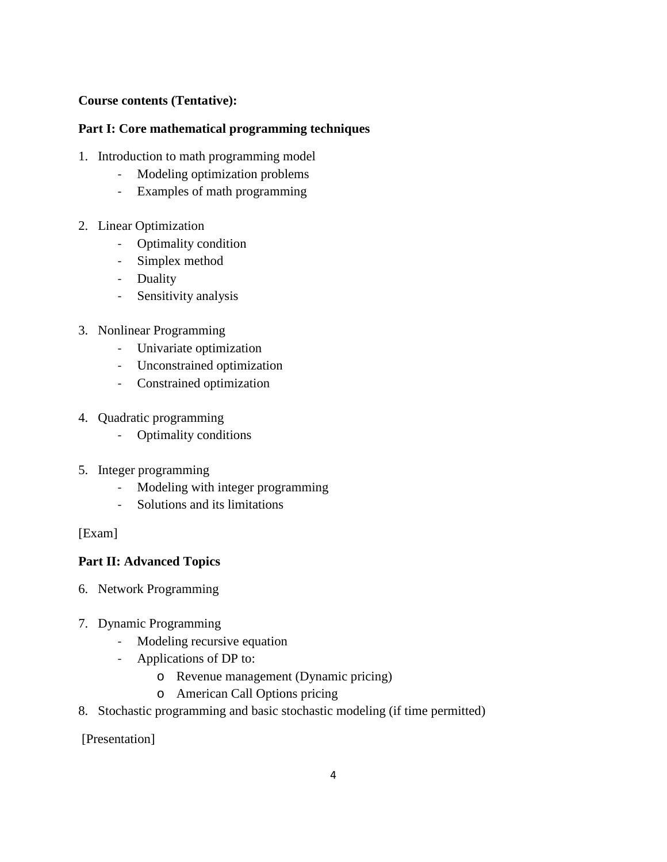## **Course contents (Tentative):**

## **Part I: Core mathematical programming techniques**

- 1. Introduction to math programming model
	- Modeling optimization problems
	- Examples of math programming
- 2. Linear Optimization
	- Optimality condition
	- Simplex method
	- Duality
	- Sensitivity analysis
- 3. Nonlinear Programming
	- Univariate optimization
	- Unconstrained optimization
	- Constrained optimization
- 4. Quadratic programming
	- Optimality conditions
- 5. Integer programming
	- Modeling with integer programming
	- Solutions and its limitations

## [Exam]

## **Part II: Advanced Topics**

- 6. Network Programming
- 7. Dynamic Programming
	- Modeling recursive equation
	- Applications of DP to:
		- o Revenue management (Dynamic pricing)
		- o American Call Options pricing
- 8. Stochastic programming and basic stochastic modeling (if time permitted)

[Presentation]